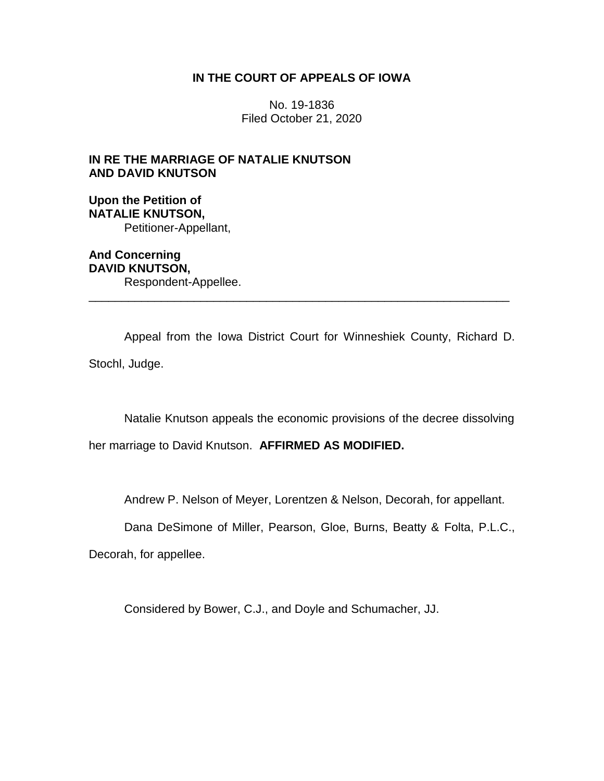## **IN THE COURT OF APPEALS OF IOWA**

No. 19-1836 Filed October 21, 2020

## **IN RE THE MARRIAGE OF NATALIE KNUTSON AND DAVID KNUTSON**

## **Upon the Petition of NATALIE KNUTSON,** Petitioner-Appellant,

**And Concerning DAVID KNUTSON,** Respondent-Appellee.

Appeal from the Iowa District Court for Winneshiek County, Richard D. Stochl, Judge.

\_\_\_\_\_\_\_\_\_\_\_\_\_\_\_\_\_\_\_\_\_\_\_\_\_\_\_\_\_\_\_\_\_\_\_\_\_\_\_\_\_\_\_\_\_\_\_\_\_\_\_\_\_\_\_\_\_\_\_\_\_\_\_\_

Natalie Knutson appeals the economic provisions of the decree dissolving

her marriage to David Knutson. **AFFIRMED AS MODIFIED.**

Andrew P. Nelson of Meyer, Lorentzen & Nelson, Decorah, for appellant.

Dana DeSimone of Miller, Pearson, Gloe, Burns, Beatty & Folta, P.L.C.,

Decorah, for appellee.

Considered by Bower, C.J., and Doyle and Schumacher, JJ.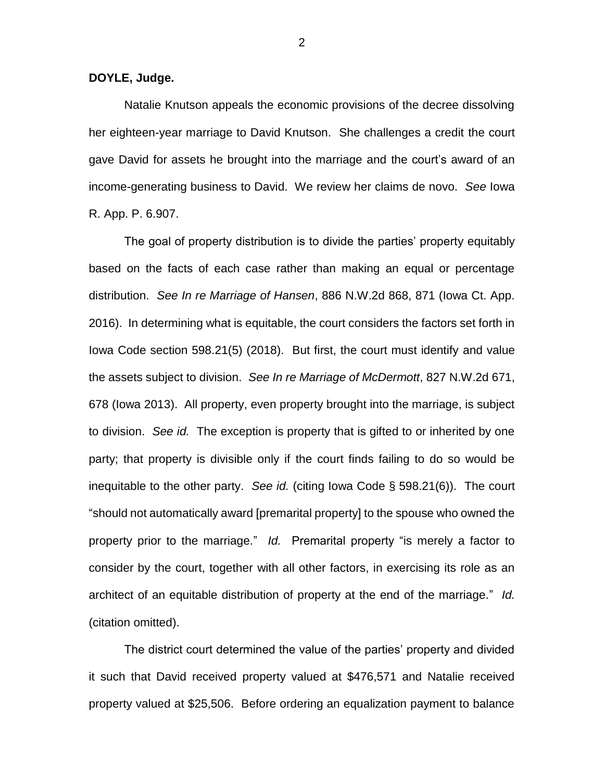**DOYLE, Judge.**

Natalie Knutson appeals the economic provisions of the decree dissolving her eighteen-year marriage to David Knutson. She challenges a credit the court gave David for assets he brought into the marriage and the court's award of an income-generating business to David. We review her claims de novo. *See* Iowa R. App. P. 6.907.

The goal of property distribution is to divide the parties' property equitably based on the facts of each case rather than making an equal or percentage distribution. *See In re Marriage of Hansen*, 886 N.W.2d 868, 871 (Iowa Ct. App. 2016). In determining what is equitable, the court considers the factors set forth in Iowa Code section 598.21(5) (2018). But first, the court must identify and value the assets subject to division. *See In re Marriage of McDermott*, 827 N.W.2d 671, 678 (Iowa 2013). All property, even property brought into the marriage, is subject to division. *See id.* The exception is property that is gifted to or inherited by one party; that property is divisible only if the court finds failing to do so would be inequitable to the other party. *See id.* (citing Iowa Code § 598.21(6)). The court "should not automatically award [premarital property] to the spouse who owned the property prior to the marriage." *Id.* Premarital property "is merely a factor to consider by the court, together with all other factors, in exercising its role as an architect of an equitable distribution of property at the end of the marriage." *Id.*  (citation omitted).

The district court determined the value of the parties' property and divided it such that David received property valued at \$476,571 and Natalie received property valued at \$25,506. Before ordering an equalization payment to balance

2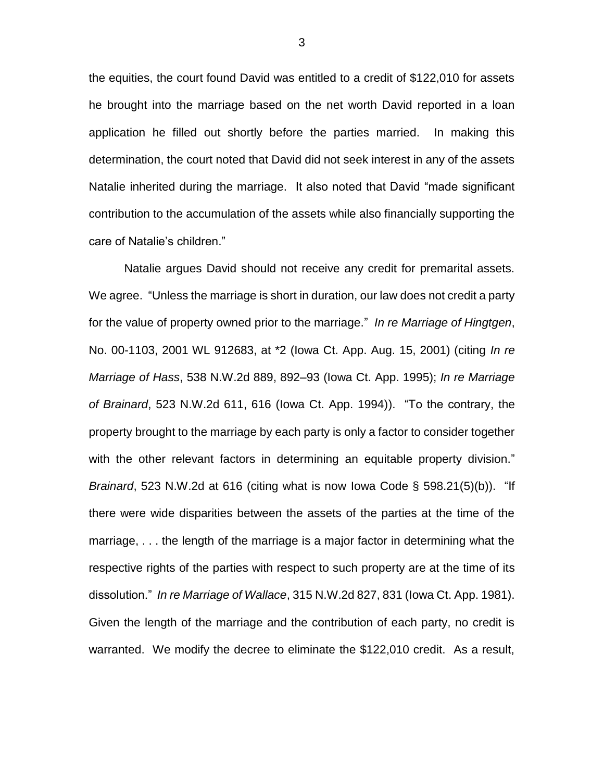the equities, the court found David was entitled to a credit of \$122,010 for assets he brought into the marriage based on the net worth David reported in a loan application he filled out shortly before the parties married. In making this determination, the court noted that David did not seek interest in any of the assets Natalie inherited during the marriage. It also noted that David "made significant contribution to the accumulation of the assets while also financially supporting the care of Natalie's children."

Natalie argues David should not receive any credit for premarital assets. We agree. "Unless the marriage is short in duration, our law does not credit a party for the value of property owned prior to the marriage." *In re Marriage of Hingtgen*, No. 00-1103, 2001 WL 912683, at \*2 (Iowa Ct. App. Aug. 15, 2001) (citing *In re Marriage of Hass*, 538 N.W.2d 889, 892–93 (Iowa Ct. App. 1995); *In re Marriage of Brainard*, 523 N.W.2d 611, 616 (Iowa Ct. App. 1994)). "To the contrary, the property brought to the marriage by each party is only a factor to consider together with the other relevant factors in determining an equitable property division." *Brainard*, 523 N.W.2d at 616 (citing what is now Iowa Code § 598.21(5)(b)). "If there were wide disparities between the assets of the parties at the time of the marriage, . . . the length of the marriage is a major factor in determining what the respective rights of the parties with respect to such property are at the time of its dissolution." *In re Marriage of Wallace*, 315 N.W.2d 827, 831 (Iowa Ct. App. 1981). Given the length of the marriage and the contribution of each party, no credit is warranted. We modify the decree to eliminate the \$122,010 credit. As a result,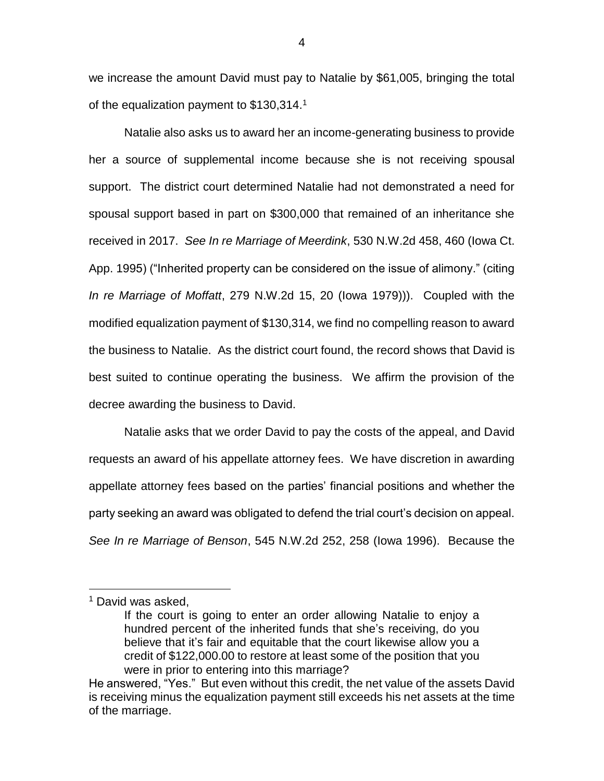we increase the amount David must pay to Natalie by \$61,005, bringing the total of the equalization payment to \$130,314.<sup>1</sup>

Natalie also asks us to award her an income-generating business to provide her a source of supplemental income because she is not receiving spousal support. The district court determined Natalie had not demonstrated a need for spousal support based in part on \$300,000 that remained of an inheritance she received in 2017. *See In re Marriage of Meerdink*, 530 N.W.2d 458, 460 (Iowa Ct. App. 1995) ("Inherited property can be considered on the issue of alimony." (citing *In re Marriage of Moffatt*, 279 N.W.2d 15, 20 (Iowa 1979))). Coupled with the modified equalization payment of \$130,314, we find no compelling reason to award the business to Natalie. As the district court found, the record shows that David is best suited to continue operating the business. We affirm the provision of the decree awarding the business to David.

Natalie asks that we order David to pay the costs of the appeal, and David requests an award of his appellate attorney fees. We have discretion in awarding appellate attorney fees based on the parties' financial positions and whether the party seeking an award was obligated to defend the trial court's decision on appeal. *See In re Marriage of Benson*, 545 N.W.2d 252, 258 (Iowa 1996). Because the

 $\overline{a}$ 

<sup>&</sup>lt;sup>1</sup> David was asked,

If the court is going to enter an order allowing Natalie to enjoy a hundred percent of the inherited funds that she's receiving, do you believe that it's fair and equitable that the court likewise allow you a credit of \$122,000.00 to restore at least some of the position that you were in prior to entering into this marriage?

He answered, "Yes." But even without this credit, the net value of the assets David is receiving minus the equalization payment still exceeds his net assets at the time of the marriage.